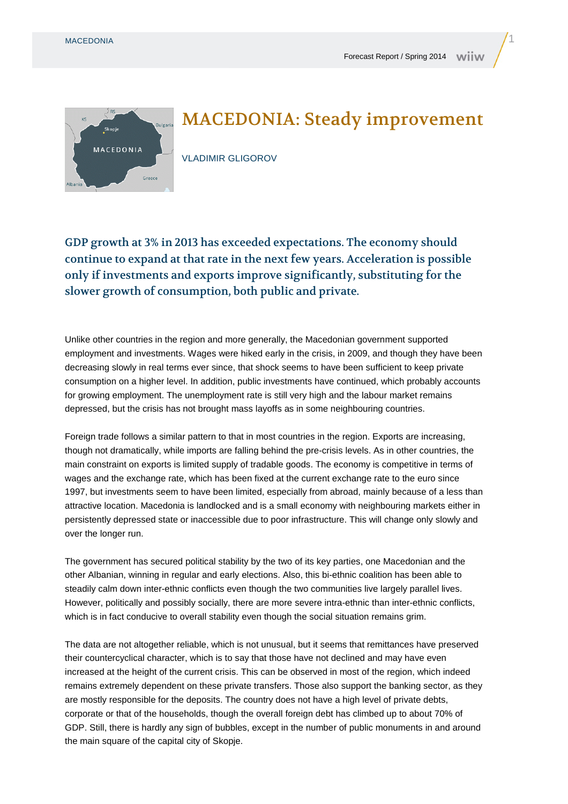

## MACEDONIA: Steady improvement

VLADIMIR GLIGOROV

GDP growth at 3% in 2013 has exceeded expectations. The economy should continue to expand at that rate in the next few years. Acceleration is possible only if investments and exports improve significantly, substituting for the slower growth of consumption, both public and private.

Unlike other countries in the region and more generally, the Macedonian government supported employment and investments. Wages were hiked early in the crisis, in 2009, and though they have been decreasing slowly in real terms ever since, that shock seems to have been sufficient to keep private consumption on a higher level. In addition, public investments have continued, which probably accounts for growing employment. The unemployment rate is still very high and the labour market remains depressed, but the crisis has not brought mass layoffs as in some neighbouring countries.

Foreign trade follows a similar pattern to that in most countries in the region. Exports are increasing, though not dramatically, while imports are falling behind the pre-crisis levels. As in other countries, the main constraint on exports is limited supply of tradable goods. The economy is competitive in terms of wages and the exchange rate, which has been fixed at the current exchange rate to the euro since 1997, but investments seem to have been limited, especially from abroad, mainly because of a less than attractive location. Macedonia is landlocked and is a small economy with neighbouring markets either in persistently depressed state or inaccessible due to poor infrastructure. This will change only slowly and over the longer run.

The government has secured political stability by the two of its key parties, one Macedonian and the other Albanian, winning in regular and early elections. Also, this bi-ethnic coalition has been able to steadily calm down inter-ethnic conflicts even though the two communities live largely parallel lives. However, politically and possibly socially, there are more severe intra-ethnic than inter-ethnic conflicts, which is in fact conducive to overall stability even though the social situation remains grim.

The data are not altogether reliable, which is not unusual, but it seems that remittances have preserved their countercyclical character, which is to say that those have not declined and may have even increased at the height of the current crisis. This can be observed in most of the region, which indeed remains extremely dependent on these private transfers. Those also support the banking sector, as they are mostly responsible for the deposits. The country does not have a high level of private debts, corporate or that of the households, though the overall foreign debt has climbed up to about 70% of GDP. Still, there is hardly any sign of bubbles, except in the number of public monuments in and around the main square of the capital city of Skopje.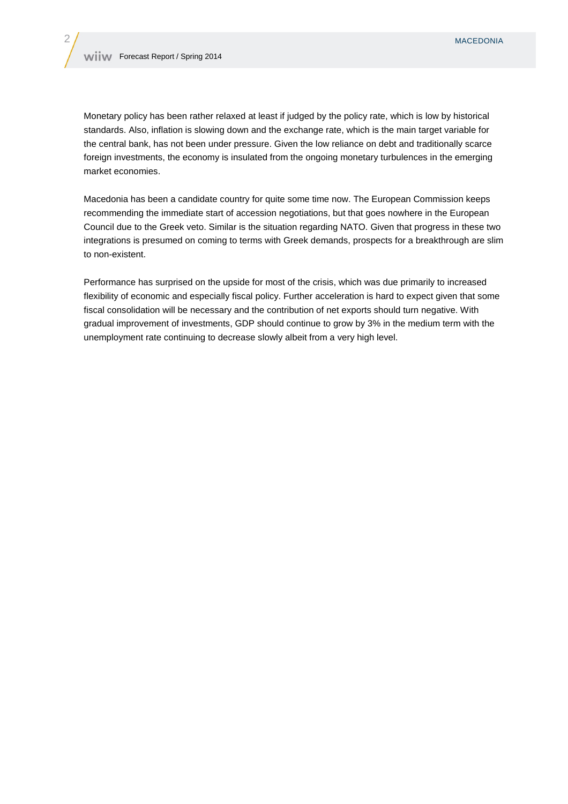Monetary policy has been rather relaxed at least if judged by the policy rate, which is low by historical standards. Also, inflation is slowing down and the exchange rate, which is the main target variable for the central bank, has not been under pressure. Given the low reliance on debt and traditionally scarce foreign investments, the economy is insulated from the ongoing monetary turbulences in the emerging market economies.

Macedonia has been a candidate country for quite some time now. The European Commission keeps recommending the immediate start of accession negotiations, but that goes nowhere in the European Council due to the Greek veto. Similar is the situation regarding NATO. Given that progress in these two integrations is presumed on coming to terms with Greek demands, prospects for a breakthrough are slim to non-existent.

Performance has surprised on the upside for most of the crisis, which was due primarily to increased flexibility of economic and especially fiscal policy. Further acceleration is hard to expect given that some fiscal consolidation will be necessary and the contribution of net exports should turn negative. With gradual improvement of investments, GDP should continue to grow by 3% in the medium term with the unemployment rate continuing to decrease slowly albeit from a very high level.